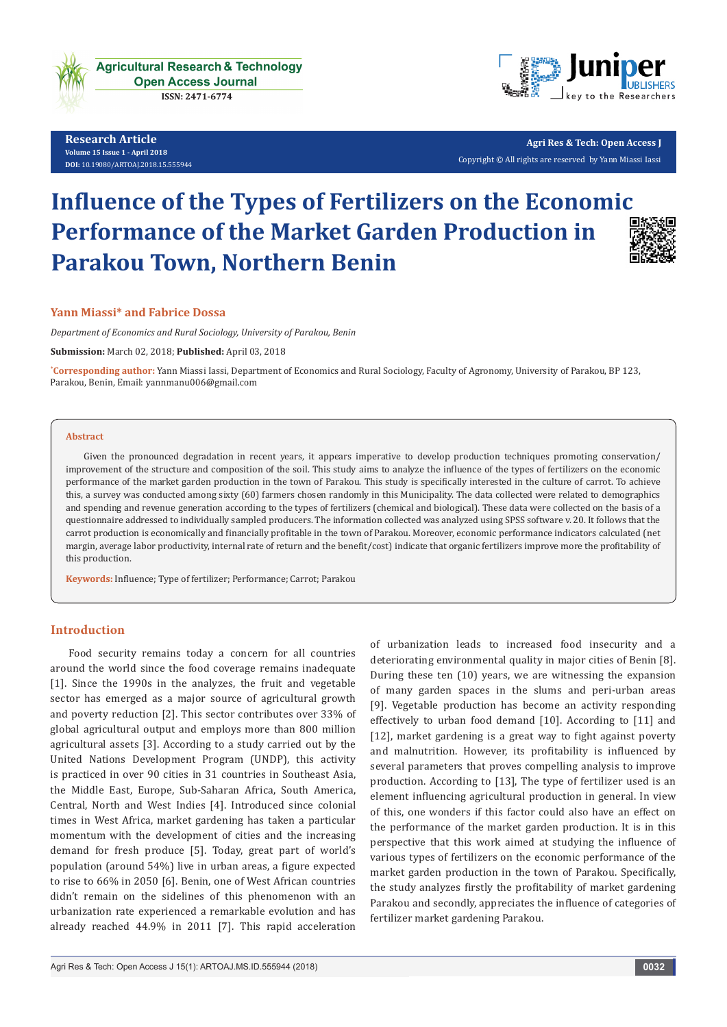

**Research Article Volume 15 Issue 1 - April 2018 [DOI:](http://dx.doi.org/10.19080/artoaj.2016.02.555590
)** [10.19080/ARTOAJ.2018.15.55594](http://http://dx.doi.org/10.19080/ARTOAJ.2018.15.555943)4



**Agri Res & Tech: Open Access J** Copyright © All rights are reserved by Yann Miassi Iassi

# **Influence of the Types of Fertilizers on the Economic Performance of the Market Garden Production in Parakou Town, Northern Benin**



# **Yann Miassi\* and Fabrice Dossa**

*Department of Economics and Rural Sociology, University of Parakou, Benin*

**Submission:** March 02, 2018; **Published:** April 03, 2018

**\* Corresponding author:** Yann Miassi Iassi, Department of Economics and Rural Sociology, Faculty of Agronomy, University of Parakou, BP 123, Parakou, Benin, Email: yannmanu006@gmail.com

#### **Abstract**

Given the pronounced degradation in recent years, it appears imperative to develop production techniques promoting conservation/ improvement of the structure and composition of the soil. This study aims to analyze the influence of the types of fertilizers on the economic performance of the market garden production in the town of Parakou. This study is specifically interested in the culture of carrot. To achieve this, a survey was conducted among sixty (60) farmers chosen randomly in this Municipality. The data collected were related to demographics and spending and revenue generation according to the types of fertilizers (chemical and biological). These data were collected on the basis of a questionnaire addressed to individually sampled producers. The information collected was analyzed using SPSS software v. 20. It follows that the carrot production is economically and financially profitable in the town of Parakou. Moreover, economic performance indicators calculated (net margin, average labor productivity, internal rate of return and the benefit/cost) indicate that organic fertilizers improve more the profitability of this production.

**Keywords:** Influence; Type of fertilizer; Performance; Carrot; Parakou

# **Introduction**

Food security remains today a concern for all countries around the world since the food coverage remains inadequate [1]. Since the 1990s in the analyzes, the fruit and vegetable sector has emerged as a major source of agricultural growth and poverty reduction [2]. This sector contributes over 33% of global agricultural output and employs more than 800 million agricultural assets [3]. According to a study carried out by the United Nations Development Program (UNDP), this activity is practiced in over 90 cities in 31 countries in Southeast Asia, the Middle East, Europe, Sub-Saharan Africa, South America, Central, North and West Indies [4]. Introduced since colonial times in West Africa, market gardening has taken a particular momentum with the development of cities and the increasing demand for fresh produce [5]. Today, great part of world's population (around 54%) live in urban areas, a figure expected to rise to 66% in 2050 [6]. Benin, one of West African countries didn't remain on the sidelines of this phenomenon with an urbanization rate experienced a remarkable evolution and has already reached 44.9% in 2011 [7]. This rapid acceleration

of urbanization leads to increased food insecurity and a deteriorating environmental quality in major cities of Benin [8]. During these ten (10) years, we are witnessing the expansion of many garden spaces in the slums and peri-urban areas [9]. Vegetable production has become an activity responding effectively to urban food demand [10]. According to [11] and [12], market gardening is a great way to fight against poverty and malnutrition. However, its profitability is influenced by several parameters that proves compelling analysis to improve production. According to [13], The type of fertilizer used is an element influencing agricultural production in general. In view of this, one wonders if this factor could also have an effect on the performance of the market garden production. It is in this perspective that this work aimed at studying the influence of various types of fertilizers on the economic performance of the market garden production in the town of Parakou. Specifically, the study analyzes firstly the profitability of market gardening Parakou and secondly, appreciates the influence of categories of fertilizer market gardening Parakou.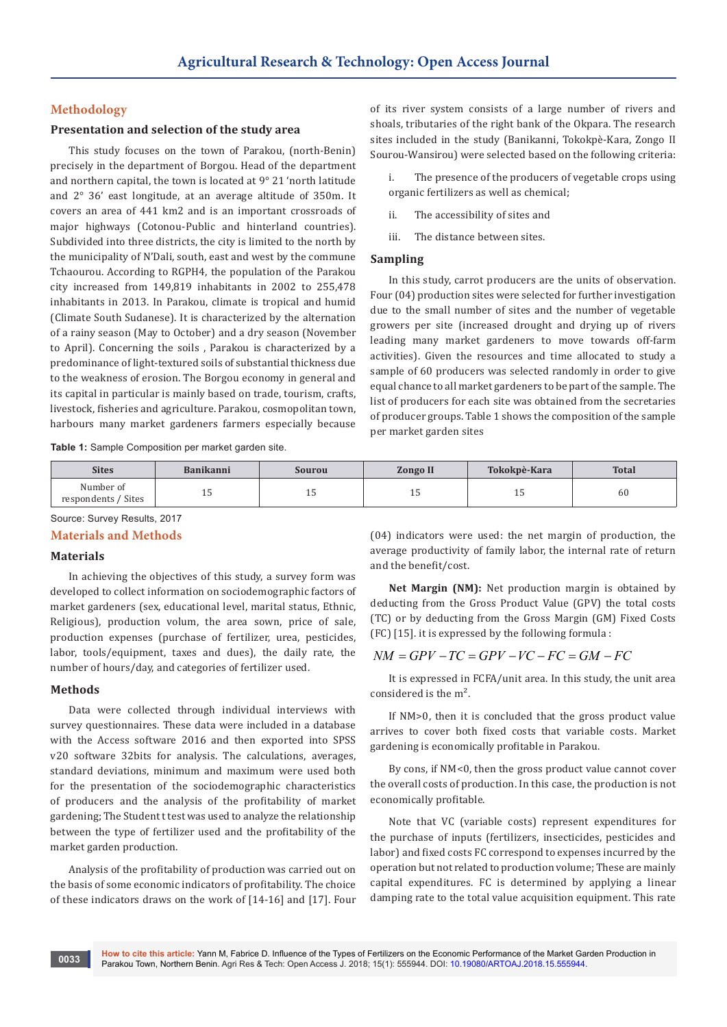# **Methodology**

# **Presentation and selection of the study area**

This study focuses on the town of Parakou, (north-Benin) precisely in the department of Borgou. Head of the department and northern capital, the town is located at 9° 21 'north latitude and 2° 36' east longitude, at an average altitude of 350m. It covers an area of 441 km2 and is an important crossroads of major highways (Cotonou-Public and hinterland countries). Subdivided into three districts, the city is limited to the north by the municipality of N'Dali, south, east and west by the commune Tchaourou. According to RGPH4, the population of the Parakou city increased from 149,819 inhabitants in 2002 to 255,478 inhabitants in 2013. In Parakou, climate is tropical and humid (Climate South Sudanese). It is characterized by the alternation of a rainy season (May to October) and a dry season (November to April). Concerning the soils , Parakou is characterized by a predominance of light-textured soils of substantial thickness due to the weakness of erosion. The Borgou economy in general and its capital in particular is mainly based on trade, tourism, crafts, livestock, fisheries and agriculture. Parakou, cosmopolitan town, harbours many market gardeners farmers especially because

of its river system consists of a large number of rivers and shoals, tributaries of the right bank of the Okpara. The research sites included in the study (Banikanni, Tokokpè-Kara, Zongo II Sourou-Wansirou) were selected based on the following criteria:

The presence of the producers of vegetable crops using organic fertilizers as well as chemical;

ii. The accessibility of sites and

iii. The distance between sites.

## **Sampling**

In this study, carrot producers are the units of observation. Four (04) production sites were selected for further investigation due to the small number of sites and the number of vegetable growers per site (increased drought and drying up of rivers leading many market gardeners to move towards off-farm activities). Given the resources and time allocated to study a sample of 60 producers was selected randomly in order to give equal chance to all market gardeners to be part of the sample. The list of producers for each site was obtained from the secretaries of producer groups. Table 1 shows the composition of the sample per market garden sites

**Table 1:** Sample Composition per market garden site.

| <b>Sites</b>                     | <b>Banikanni</b> | Sourou | <b>Zongo II</b> | Tokokpè-Kara | <b>Total</b> |
|----------------------------------|------------------|--------|-----------------|--------------|--------------|
| Number of<br>respondents / Sites | ᆂᇦ               | ᆂᇦ     | ᆂ               | ᆂᇦ           | 60           |

Source: Survey Results, 2017

#### **Materials and Methods**

# **Materials**

In achieving the objectives of this study, a survey form was developed to collect information on sociodemographic factors of market gardeners (sex, educational level, marital status, Ethnic, Religious), production volum, the area sown, price of sale, production expenses (purchase of fertilizer, urea, pesticides, labor, tools/equipment, taxes and dues), the daily rate, the number of hours/day, and categories of fertilizer used.

#### **Methods**

**0033**

Data were collected through individual interviews with survey questionnaires. These data were included in a database with the Access software 2016 and then exported into SPSS v20 software 32bits for analysis. The calculations, averages, standard deviations, minimum and maximum were used both for the presentation of the sociodemographic characteristics of producers and the analysis of the profitability of market gardening; The Student t test was used to analyze the relationship between the type of fertilizer used and the profitability of the market garden production.

Analysis of the profitability of production was carried out on the basis of some economic indicators of profitability. The choice of these indicators draws on the work of [14-16] and [17]. Four

(04) indicators were used: the net margin of production, the average productivity of family labor, the internal rate of return and the benefit/cost.

**Net Margin (NM):** Net production margin is obtained by deducting from the Gross Product Value (GPV) the total costs (TC) or by deducting from the Gross Margin (GM) Fixed Costs (FC) [15]. it is expressed by the following formula :

# $NM = GPV - TC = GPV - VC - FC = GM - FC$

It is expressed in FCFA/unit area. In this study, the unit area considered is the m².

If NM>0, then it is concluded that the gross product value arrives to cover both fixed costs that variable costs. Market gardening is economically profitable in Parakou.

By cons, if NM<0, then the gross product value cannot cover the overall costs of production. In this case, the production is not economically profitable.

Note that VC (variable costs) represent expenditures for the purchase of inputs (fertilizers, insecticides, pesticides and labor) and fixed costs FC correspond to expenses incurred by the operation but not related to production volume; These are mainly capital expenditures. FC is determined by applying a linear damping rate to the total value acquisition equipment. This rate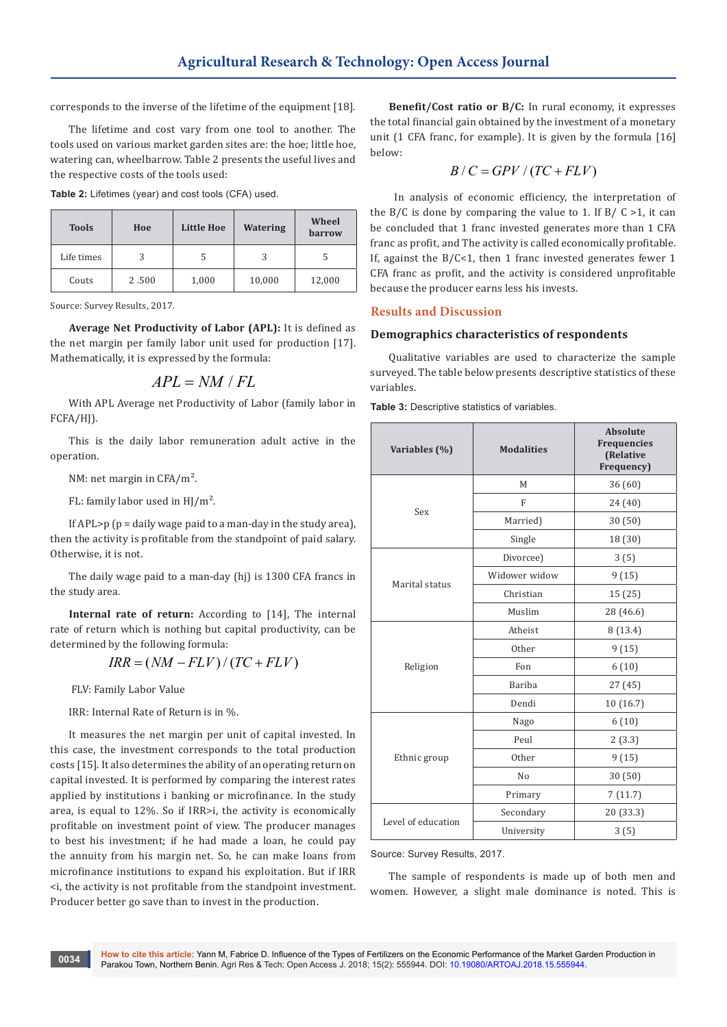corresponds to the inverse of the lifetime of the equipment [18].

The lifetime and cost vary from one tool to another. The tools used on various market garden sites are: the hoe; little hoe, watering can, wheelbarrow. Table 2 presents the useful lives and the respective costs of the tools used:

**Table 2:** Lifetimes (year) and cost tools (CFA) used.

| <b>Tools</b> | Hoe   | Little Hoe | Watering | Wheel<br><b>barrow</b> |
|--------------|-------|------------|----------|------------------------|
| Life times   |       |            | 3        |                        |
| Couts        | 2.500 | 1,000      | 10,000   | 12,000                 |

Source: Survey Results, 2017.

**Average Net Productivity of Labor (APL):** It is defined as the net margin per family labor unit used for production [17]. Mathematically, it is expressed by the formula:

$$
APL = NM / FL
$$

With APL Average net Productivity of Labor (family labor in FCFA/HJ).

This is the daily labor remuneration adult active in the operation.

NM: net margin in CFA/m².

FL: family labor used in HJ/m².

If APL $> p$  ( $p =$  daily wage paid to a man-day in the study area), then the activity is profitable from the standpoint of paid salary. Otherwise, it is not.

The daily wage paid to a man-day (hj) is 1300 CFA francs in the study area.

**Internal rate of return:** According to [14], The internal rate of return which is nothing but capital productivity, can be determined by the following formula:

$$
IRR = (NM - FLV) / (TC + FLV)
$$

FLV: Family Labor Value

IRR: Internal Rate of Return is in %.

It measures the net margin per unit of capital invested. In this case, the investment corresponds to the total production costs [15]. It also determines the ability of an operating return on capital invested. It is performed by comparing the interest rates applied by institutions i banking or microfinance. In the study area, is equal to 12%. So if IRR>i, the activity is economically profitable on investment point of view. The producer manages to best his investment; if he had made a loan, he could pay the annuity from his margin net. So, he can make loans from microfinance institutions to expand his exploitation. But if IRR <i, the activity is not profitable from the standpoint investment. Producer better go save than to invest in the production.

**Benefit/Cost ratio or B/C:** In rural economy, it expresses the total financial gain obtained by the investment of a monetary unit (1 CFA franc, for example). It is given by the formula [16] below:

$$
B/C = GPV/(TC + FLV)
$$

 In analysis of economic efficiency, the interpretation of the B/C is done by comparing the value to 1. If B/C  $>1$ , it can be concluded that 1 franc invested generates more than 1 CFA franc as profit, and The activity is called economically profitable. If, against the  $B/C<1$ , then 1 franc invested generates fewer 1 CFA franc as profit, and the activity is considered unprofitable because the producer earns less his invests.

# **Results and Discussion**

#### **Demographics characteristics of respondents**

Qualitative variables are used to characterize the sample surveyed. The table below presents descriptive statistics of these variables.

**Table 3:** Descriptive statistics of variables.

| Variables (%)      | <b>Modalities</b> | <b>Absolute</b><br>Frequencies<br>(Relative<br>Frequency) |
|--------------------|-------------------|-----------------------------------------------------------|
|                    | M                 | 36 (60)                                                   |
| Sex                | $\mathbf{F}$      | 24 (40)                                                   |
|                    | Married)          | 30(50)                                                    |
|                    | Single            | 18 (30)                                                   |
|                    | Divorcee)         | 3(5)                                                      |
|                    | Widower widow     | 9(15)                                                     |
| Marital status     | Christian         | 15 (25)                                                   |
|                    | Muslim            | 28 (46.6)                                                 |
|                    | Atheist           | 8 (13.4)                                                  |
|                    | Other             | 9(15)                                                     |
| Religion           | Fon               | 6(10)                                                     |
|                    | Bariba            | 27(45)                                                    |
|                    | Dendi             | 10 (16.7)                                                 |
|                    | Nago              | 6(10)                                                     |
|                    | Peul              | 2(3.3)                                                    |
| Ethnic group       | Other             | 9(15)                                                     |
|                    | No                | 30(50)                                                    |
|                    | Primary           | 7(11.7)                                                   |
|                    | Secondary         | 20 (33.3)                                                 |
| Level of education | University        | 3(5)                                                      |

#### Source: Survey Results, 2017.

The sample of respondents is made up of both men and women. However, a slight male dominance is noted. This is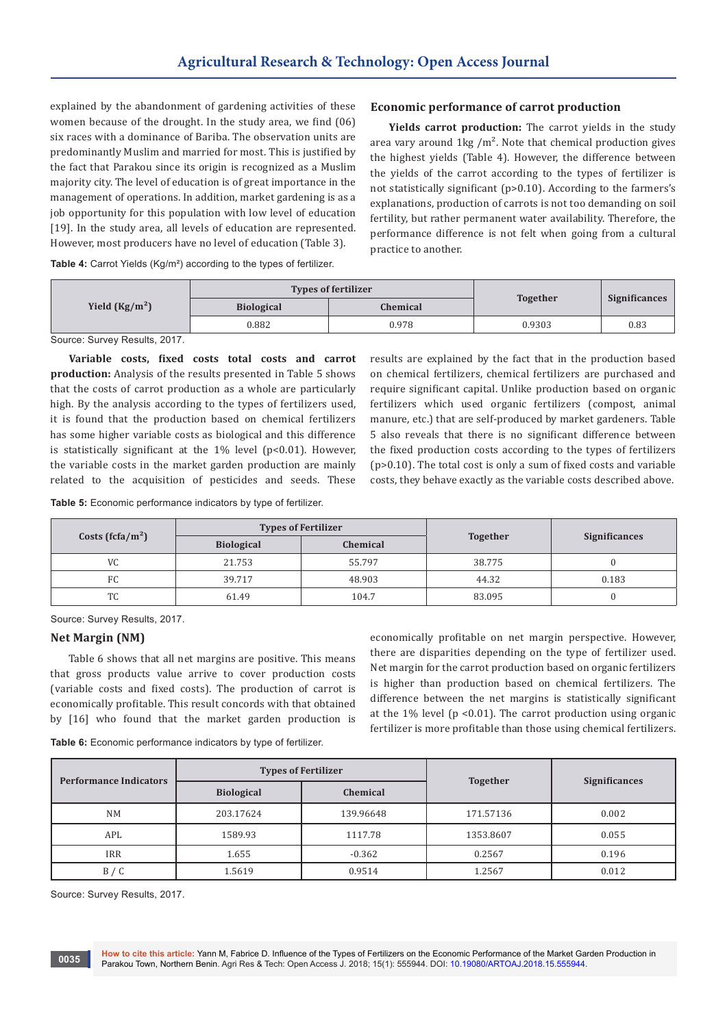explained by the abandonment of gardening activities of these women because of the drought. In the study area, we find (06) six races with a dominance of Bariba. The observation units are predominantly Muslim and married for most. This is justified by the fact that Parakou since its origin is recognized as a Muslim majority city. The level of education is of great importance in the management of operations. In addition, market gardening is as a job opportunity for this population with low level of education [19]. In the study area, all levels of education are represented. However, most producers have no level of education (Table 3).

# **Economic performance of carrot production**

**Yields carrot production:** The carrot yields in the study area vary around  $1\text{kg}/\text{m}^2$ . Note that chemical production gives the highest yields (Table 4). However, the difference between the yields of the carrot according to the types of fertilizer is not statistically significant (p>0.10). According to the farmers's explanations, production of carrots is not too demanding on soil fertility, but rather permanent water availability. Therefore, the performance difference is not felt when going from a cultural practice to another.

**Table 4:** Carrot Yields (Kg/m²) according to the types of fertilizer.

|                 | <b>Types of fertilizer</b> |                 |                 |                      |
|-----------------|----------------------------|-----------------|-----------------|----------------------|
| Yield $(Kg/m2)$ | <b>Biological</b>          | <b>Chemical</b> | <b>Together</b> | <b>Significances</b> |
|                 | 0.882                      | 0.978           | 0.9303          | 0.83                 |
|                 |                            |                 |                 |                      |

Source: Survey Results, 2017.

**Variable costs, fixed costs total costs and carrot production:** Analysis of the results presented in Table 5 shows that the costs of carrot production as a whole are particularly high. By the analysis according to the types of fertilizers used, it is found that the production based on chemical fertilizers has some higher variable costs as biological and this difference is statistically significant at the  $1\%$  level (p<0.01). However, the variable costs in the market garden production are mainly related to the acquisition of pesticides and seeds. These

on chemical fertilizers, chemical fertilizers are purchased and require significant capital. Unlike production based on organic fertilizers which used organic fertilizers (compost, animal manure, etc.) that are self-produced by market gardeners. Table 5 also reveals that there is no significant difference between the fixed production costs according to the types of fertilizers (p>0.10). The total cost is only a sum of fixed costs and variable costs, they behave exactly as the variable costs described above.

results are explained by the fact that in the production based

**Table 5:** Economic performance indicators by type of fertilizer.

| Costs (fcfa/m <sup>2</sup> ) | <b>Types of Fertilizer</b> |          |                 |                      |
|------------------------------|----------------------------|----------|-----------------|----------------------|
|                              | <b>Biological</b>          | Chemical | <b>Together</b> | <b>Significances</b> |
| VC                           | 21.753                     | 55.797   | 38.775          |                      |
| FC.                          | 39.717                     | 48.903   | 44.32           | 0.183                |
| <b>TC</b>                    | 61.49                      | 104.7    | 83.095          |                      |

Source: Survey Results, 2017.

# **Net Margin (NM)**

Table 6 shows that all net margins are positive. This means that gross products value arrive to cover production costs (variable costs and fixed costs). The production of carrot is economically profitable. This result concords with that obtained by [16] who found that the market garden production is

economically profitable on net margin perspective. However, there are disparities depending on the type of fertilizer used. Net margin for the carrot production based on organic fertilizers is higher than production based on chemical fertilizers. The difference between the net margins is statistically significant at the  $1\%$  level (p < 0.01). The carrot production using organic fertilizer is more profitable than those using chemical fertilizers.

**Table 6:** Economic performance indicators by type of fertilizer.

| <b>Performance Indicators</b> | <b>Types of Fertilizer</b> |           |                 | <b>Significances</b> |
|-------------------------------|----------------------------|-----------|-----------------|----------------------|
|                               | <b>Biological</b>          | Chemical  | <b>Together</b> |                      |
| <b>NM</b>                     | 203.17624                  | 139.96648 | 171.57136       | 0.002                |
| APL                           | 1589.93                    | 1117.78   | 1353.8607       | 0.055                |
| <b>IRR</b>                    | 1.655                      | $-0.362$  | 0.2567          | 0.196                |
| B / C                         | 1.5619                     | 0.9514    | 1.2567          | 0.012                |

Source: Survey Results, 2017.

**0035**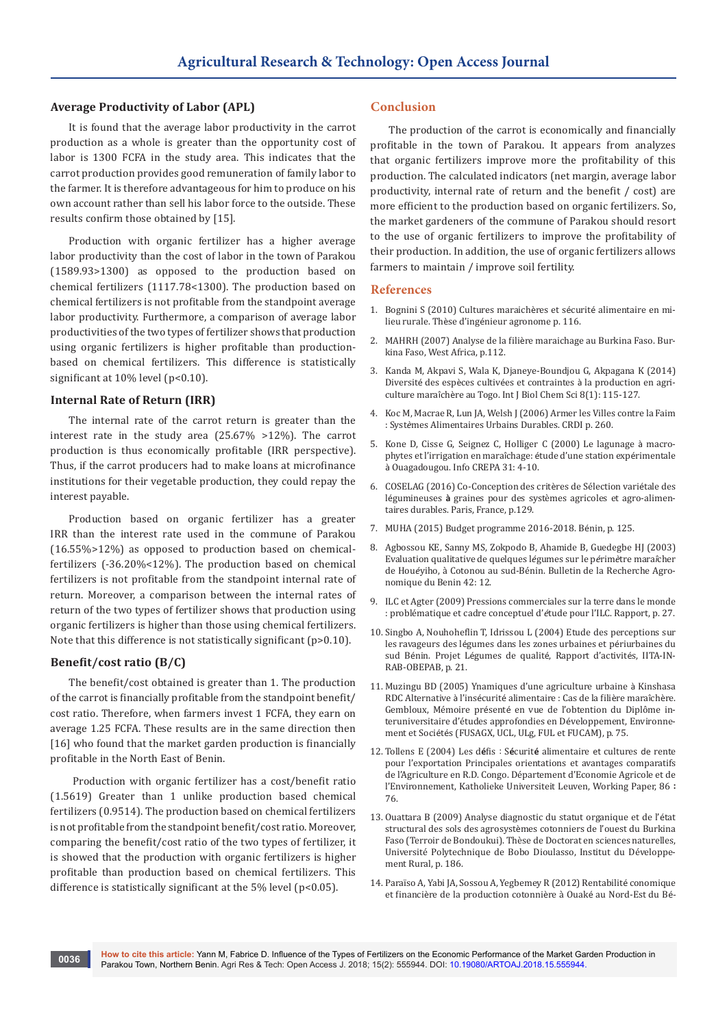# **Average Productivity of Labor (APL)**

It is found that the average labor productivity in the carrot production as a whole is greater than the opportunity cost of labor is 1300 FCFA in the study area. This indicates that the carrot production provides good remuneration of family labor to the farmer. It is therefore advantageous for him to produce on his own account rather than sell his labor force to the outside. These results confirm those obtained by [15].

Production with organic fertilizer has a higher average labor productivity than the cost of labor in the town of Parakou (1589.93>1300) as opposed to the production based on chemical fertilizers (1117.78<1300). The production based on chemical fertilizers is not profitable from the standpoint average labor productivity. Furthermore, a comparison of average labor productivities of the two types of fertilizer shows that production using organic fertilizers is higher profitable than productionbased on chemical fertilizers. This difference is statistically significant at 10% level (p<0.10).

#### **Internal Rate of Return (IRR)**

The internal rate of the carrot return is greater than the interest rate in the study area (25.67% >12%). The carrot production is thus economically profitable (IRR perspective). Thus, if the carrot producers had to make loans at microfinance institutions for their vegetable production, they could repay the interest payable.

Production based on organic fertilizer has a greater IRR than the interest rate used in the commune of Parakou (16.55%>12%) as opposed to production based on chemicalfertilizers (-36.20%<12%). The production based on chemical fertilizers is not profitable from the standpoint internal rate of return. Moreover, a comparison between the internal rates of return of the two types of fertilizer shows that production using organic fertilizers is higher than those using chemical fertilizers. Note that this difference is not statistically significant (p>0.10).

### **Benefit/cost ratio (B/C)**

The benefit/cost obtained is greater than 1. The production of the carrot is financially profitable from the standpoint benefit/ cost ratio. Therefore, when farmers invest 1 FCFA, they earn on average 1.25 FCFA. These results are in the same direction then [16] who found that the market garden production is financially profitable in the North East of Benin.

 Production with organic fertilizer has a cost/benefit ratio (1.5619) Greater than 1 unlike production based chemical fertilizers (0.9514). The production based on chemical fertilizers is not profitable from the standpoint benefit/cost ratio. Moreover, comparing the benefit/cost ratio of the two types of fertilizer, it is showed that the production with organic fertilizers is higher profitable than production based on chemical fertilizers. This difference is statistically significant at the 5% level (p<0.05).

# **Conclusion**

The production of the carrot is economically and financially profitable in the town of Parakou. It appears from analyzes that organic fertilizers improve more the profitability of this production. The calculated indicators (net margin, average labor productivity, internal rate of return and the benefit / cost) are more efficient to the production based on organic fertilizers. So, the market gardeners of the commune of Parakou should resort to the use of organic fertilizers to improve the profitability of their production. In addition, the use of organic fertilizers allows farmers to maintain / improve soil fertility.

#### **References**

- 1. [Bognini S \(2010\) Cultures maraich](https://www.memoireonline.com/02/12/5258/m_Cultures-maraicirccheres-et-securite-alimentaire-en-milieu-rural4.html)ères et sécurité alimentaire en milieu rurale. Thèse d'ingé[nieur agronome p. 116.](https://www.memoireonline.com/02/12/5258/m_Cultures-maraicirccheres-et-securite-alimentaire-en-milieu-rural4.html)
- 2. MAHRH (2007) Analyse de la filiè[re maraichage au Burkina Faso. Bur](http://www.fao.org/docs/up/easypol/887/analyse-filiere-maraichage_107fr.pdf)[kina Faso, West Africa, p.112.](http://www.fao.org/docs/up/easypol/887/analyse-filiere-maraichage_107fr.pdf)
- 3. [Kanda M, Akpavi S, Wala K, Djaneye-Boundjou G, Akpagana K \(2014\)](https://www.ajol.info/index.php/ijbcs/article/view/104039)  Diversité des espèces cultivées et contraintes à [la production en agri](https://www.ajol.info/index.php/ijbcs/article/view/104039)culture maraîchè[re au Togo. Int J Biol Chem Sci 8\(1\): 115-127.](https://www.ajol.info/index.php/ijbcs/article/view/104039)
- 4. [Koc M, Macrae R, Lun JA, Welsh J \(2006\) Armer les Villes contre la Faim](https://idl-bnc-idrc.dspacedirect.org/handle/10625/29661)  : Syst*è*[mes Alimentaires Urbains Durables. CRDI p. 260.](https://idl-bnc-idrc.dspacedirect.org/handle/10625/29661)
- 5. Kone D, Cisse G, Seignez C, Holliger C (2000) Le lagunage à macrophytes et l'irrigation en maraîchage: étude d'une station expérimentale à Ouagadougou. Info CREPA 31: 4-10.
- 6. COSELAG (2016) Co-Conception des critères de Sélection variétale des légumineuses **à** graines pour des systèmes agricoles et agro-alimentaires durables. Paris, France, p.129.
- 7. MUHA (2015) Budget programme 2016-2018. Bénin, p. 125.
- 8. Agbossou KE, Sanny MS, Zokpodo B, Ahamide B, Guedegbe HJ (2003) Evaluation qualitative de quelques l*é*gumes sur le p*é*rim*è*tre mara*î*cher de Hou*é*yiho, à Cotonou au sud-Bénin. Bulletin de la Recherche Agronomique du Benin 42: 12.
- 9. ILC et Agter (2009) Pressions commerciales sur la terre dans le monde : problématique et cadre conceptuel d'*é*tude pour l'ILC. Rapport, p. 27.
- 10. Singbo A, Nouhoheflin T, Idrissou L (2004) Etude des perceptions sur les ravageurs des légumes dans les zones urbaines et périurbaines du sud Bénin. Projet Légumes de qualité, Rapport d'activités, IITA-IN-RAB-OBEPAB, p. 21.
- 11. Muzingu BD (2005) Ynamiques d'une agriculture urbaine à Kinshasa RDC Alternative à l'insécurité alimentaire : Cas de la filière maraîchère. Gembloux, Mémoire présenté en vue de l'obtention du Diplôme interuniversitaire d'études approfondies en Développement, Environnement et Sociétés (FUSAGX, UCL, ULg, FUL et FUCAM), p. 75.
- 12. Tollens E (2004) Les d**é**fis : S**é**curit**é** alimentaire et cultures de rente pour l'exportation Principales orientations et avantages comparatifs de l'Agriculture en R.D. Congo. Département d'Economie Agricole et de l'Environnement, Katholieke Universiteit Leuven, Working Paper, 86 **:** 76.
- 13. Ouattara B (2009) Analyse diagnostic du statut organique et de l'état structural des sols des agrosystèmes cotonniers de l'ouest du Burkina Faso (Terroir de Bondoukui). Thèse de Doctorat en sciences naturelles, Université Polytechnique de Bobo Dioulasso, Institut du Développement Rural, p. 186.
- 14. [Paraïso A, Yabi JA, Sossou A, Yegbemey R \(2012\) Rentabilit](https://www.ajol.info/index.php/asab/article/view/106721)é conomique et financiè[re de la production cotonni](https://www.ajol.info/index.php/asab/article/view/106721)ère à Ouaké au Nord-Est du Bé-